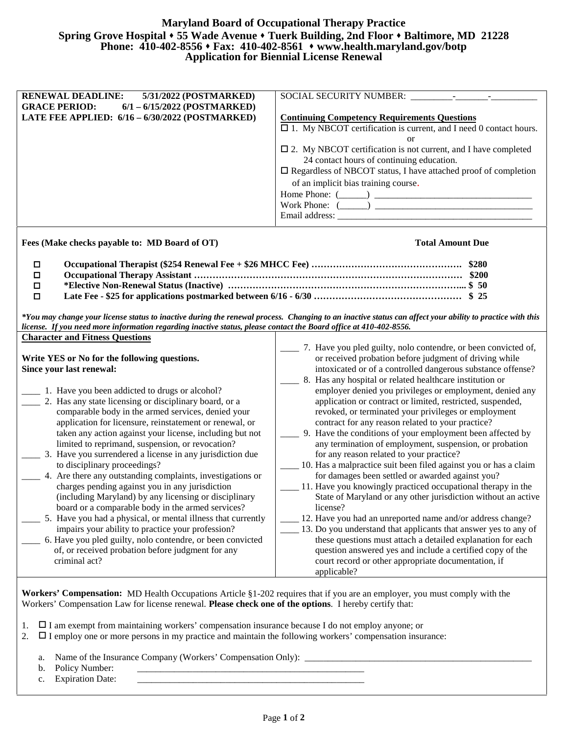## **Maryland Board of Occupational Therapy Practice Spring Grove Hospital 55 Wade Avenue Tuerk Building, 2nd Floor Baltimore, MD 21228 Phone: 410-402-8556 Fax: 410-402-8561 www.health.maryland.gov/botp Application for Biennial License Renewal**

| <b>RENEWAL DEADLINE:</b><br>5/31/2022 (POSTMARKED)<br><b>GRACE PERIOD:</b><br>$6/1 - 6/15/2022$ (POSTMARKED)      |                                                                                                                                                                                                                                                             |
|-------------------------------------------------------------------------------------------------------------------|-------------------------------------------------------------------------------------------------------------------------------------------------------------------------------------------------------------------------------------------------------------|
| LATE FEE APPLIED: 6/16 - 6/30/2022 (POSTMARKED)                                                                   | <b>Continuing Competency Requirements Questions</b>                                                                                                                                                                                                         |
|                                                                                                                   | $\square$ 1. My NBCOT certification is current, and I need 0 contact hours.<br><sub>or</sub>                                                                                                                                                                |
|                                                                                                                   | $\square$ 2. My NBCOT certification is not current, and I have completed                                                                                                                                                                                    |
|                                                                                                                   | 24 contact hours of continuing education.                                                                                                                                                                                                                   |
|                                                                                                                   | $\square$ Regardless of NBCOT status, I have attached proof of completion                                                                                                                                                                                   |
|                                                                                                                   | of an implicit bias training course.                                                                                                                                                                                                                        |
|                                                                                                                   | Home Phone: $(\_\_)$<br>Work Phone: $(\_\_)$                                                                                                                                                                                                                |
|                                                                                                                   |                                                                                                                                                                                                                                                             |
| Fees (Make checks payable to: MD Board of OT)                                                                     | <b>Total Amount Due</b>                                                                                                                                                                                                                                     |
| $\Box$                                                                                                            |                                                                                                                                                                                                                                                             |
| $\Box$                                                                                                            |                                                                                                                                                                                                                                                             |
| $\Box$                                                                                                            |                                                                                                                                                                                                                                                             |
| $\Box$                                                                                                            |                                                                                                                                                                                                                                                             |
| license. If you need more information regarding inactive status, please contact the Board office at 410-402-8556. | *You may change your license status to inactive during the renewal process. Changing to an inactive status can affect your ability to practice with this                                                                                                    |
|                                                                                                                   |                                                                                                                                                                                                                                                             |
| <b>Character and Fitness Questions</b>                                                                            |                                                                                                                                                                                                                                                             |
|                                                                                                                   |                                                                                                                                                                                                                                                             |
|                                                                                                                   | or received probation before judgment of driving while                                                                                                                                                                                                      |
| Write YES or No for the following questions.<br>Since your last renewal:                                          |                                                                                                                                                                                                                                                             |
|                                                                                                                   | ___ 8. Has any hospital or related healthcare institution or                                                                                                                                                                                                |
| 1. Have you been addicted to drugs or alcohol?                                                                    |                                                                                                                                                                                                                                                             |
| 2. Has any state licensing or disciplinary board, or a                                                            | 7. Have you pled guilty, nolo contendre, or been convicted of,<br>intoxicated or of a controlled dangerous substance offense?<br>employer denied you privileges or employment, denied any<br>application or contract or limited, restricted, suspended,     |
| comparable body in the armed services, denied your<br>application for licensure, reinstatement or renewal, or     | revoked, or terminated your privileges or employment<br>contract for any reason related to your practice?                                                                                                                                                   |
| taken any action against your license, including but not                                                          | _______ 9. Have the conditions of your employment been affected by                                                                                                                                                                                          |
| limited to reprimand, suspension, or revocation?                                                                  | any termination of employment, suspension, or probation                                                                                                                                                                                                     |
| 3. Have you surrendered a license in any jurisdiction due                                                         | for any reason related to your practice?                                                                                                                                                                                                                    |
| to disciplinary proceedings?                                                                                      |                                                                                                                                                                                                                                                             |
| 4. Are there any outstanding complaints, investigations or                                                        | for damages been settled or awarded against you?                                                                                                                                                                                                            |
| charges pending against you in any jurisdiction                                                                   | 11. Have you knowingly practiced occupational therapy in the                                                                                                                                                                                                |
| (including Maryland) by any licensing or disciplinary                                                             |                                                                                                                                                                                                                                                             |
| board or a comparable body in the armed services?                                                                 | license?                                                                                                                                                                                                                                                    |
| 5. Have you had a physical, or mental illness that currently                                                      | 12. Have you had an unreported name and/or address change?                                                                                                                                                                                                  |
| impairs your ability to practice your profession?                                                                 | these questions must attach a detailed explanation for each                                                                                                                                                                                                 |
| 6. Have you pled guilty, nolo contendre, or been convicted<br>of, or received probation before judgment for any   | question answered yes and include a certified copy of the                                                                                                                                                                                                   |
| criminal act?                                                                                                     | 10. Has a malpractice suit been filed against you or has a claim<br>State of Maryland or any other jurisdiction without an active<br>13. Do you understand that applicants that answer yes to any of<br>court record or other appropriate documentation, if |

Workers' Compensation Law for license renewal. **Please check one of the options**. I hereby certify that:

- 1.  $\Box$  I am exempt from maintaining workers' compensation insurance because I do not employ anyone; or
- 2. I employ one or more persons in my practice and maintain the following workers' compensation insurance:
	- a. Name of the Insurance Company (Workers' Compensation Only):
	- b. Policy Number:
	- c. Expiration Date: